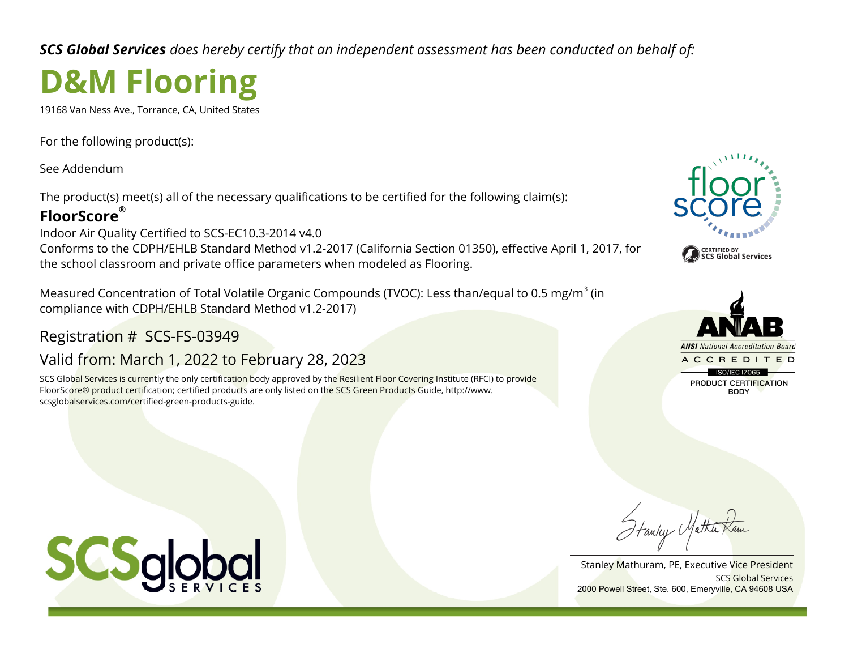*SCS Global Services does hereby certify that an independent assessment has been conducted on behalf of:*

# **D&M Flooring**

19168 Van Ness Ave., Torrance, CA, United States

For the following product(s):

See Addendum

The product(s) meet(s) all of the necessary qualifications to be certified for the following claim(s):

### **FloorScore®**

Indoor Air Quality Certified to SCS-EC10.3-2014 v4.0 Conforms to the CDPH/EHLB Standard Method v1.2-2017 (California Section 01350), effective April 1, 2017, for the school classroom and private office parameters when modeled as Flooring.

Measured Concentration of Total Volatile Organic Compounds (TVOC): Less than/equal to 0.5 mg/m<sup>3</sup> (in compliance with CDPH/EHLB Standard Method v1.2-2017)

## Registration # SCS-FS-03949

# Valid from: March 1, 2022 to February 28, 2023

SCS Global Services is currently the only certification body approved by the Resilient Floor Covering Institute (RFCI) to provide FloorScore® product certification; certified products are only listed on the SCS Green Products Guide, http://www. scsglobalservices.com/certified-green-products-guide.





Hanley Matha

SCS Global Services Stanley Mathuram, PE, Executive Vice President 2000 Powell Street, Ste. 600, Emeryville, CA 94608 USA